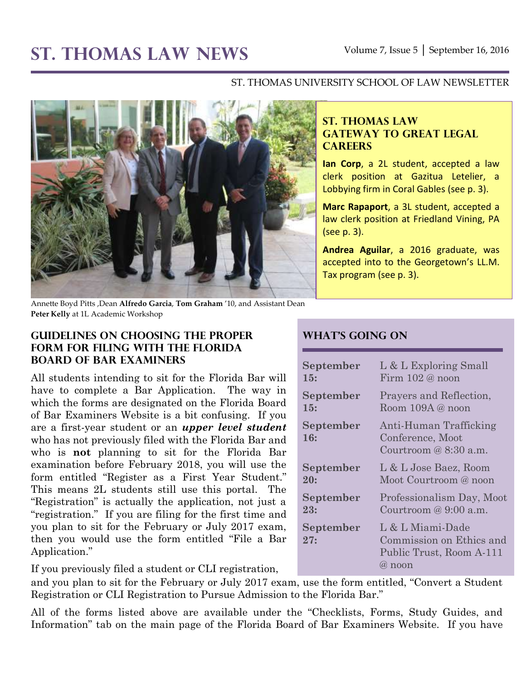# **ST. THOMAS LAW NEWS** Volume 7, Issue 5 │ September 16, 2016

#### ST. THOMAS UNIVERSITY SCHOOL OF LAW NEWSLETTER



**ST. THOMAS LAW GATEWAY TO GREAT LEGAL CAREERS**

**Ian Corp**, a 2L student, accepted a law clerk position at Gazitua Letelier, a Lobbying firm in Coral Gables (see p. 3).

**Marc Rapaport**, a 3L student, accepted a law clerk position at Friedland Vining, PA (see p. 3).

**Andrea Aguilar**, a 2016 graduate, was accepted into to the Georgetown's LL.M. Tax program (see p. 3).

Annette Boyd Pitts ,Dean **Alfredo Garcia**, **Tom Graham** '10, and Assistant Dean **Peter Kelly** at 1L Academic Workshop

#### **Guidelines on Choosing the Proper Form for Filing with the Florida Board of Bar Examiners**

All students intending to sit for the Florida Bar will have to complete a Bar Application. The way in which the forms are designated on the Florida Board of Bar Examiners Website is a bit confusing. If you are a first-year student or an *upper level student* who has not previously filed with the Florida Bar and who is **not** planning to sit for the Florida Bar examination before February 2018, you will use the form entitled "Register as a First Year Student." This means 2L students still use this portal. The "Registration" is actually the application, not just a "registration." If you are filing for the first time and you plan to sit for the February or July 2017 exam, then you would use the form entitled "File a Bar Application."

If you previously filed a student or CLI registration,

and you plan to sit for the February or July 2017 exam, use the form entitled, "Convert a Student Registration or CLI Registration to Pursue Admission to the Florida Bar."

All of the forms listed above are available under the "Checklists, Forms, Study Guides, and Information" tab on the main page of the Florida Board of Bar Examiners Website. If you have

### **What's Going On**

| September        | L & L Exploring Small                                                                     |
|------------------|-------------------------------------------------------------------------------------------|
| 15:              | Firm $102@$ noon                                                                          |
| September        | Prayers and Reflection,                                                                   |
| 15:              | Room 109A@ noon                                                                           |
| September<br>16: | Anti-Human Trafficking<br>Conference, Moot<br>Courtroom @ 8:30 a.m.                       |
| September        | L & L Jose Baez, Room                                                                     |
| 20:              | Moot Courtroom @ noon                                                                     |
| September        | Professionalism Day, Moot                                                                 |
| 23:              | Courtroom @ $9:00$ a.m.                                                                   |
| September<br>27: | L & L Miami-Dade<br>Commission on Ethics and<br>Public Trust, Room A-111<br>$\omega$ noon |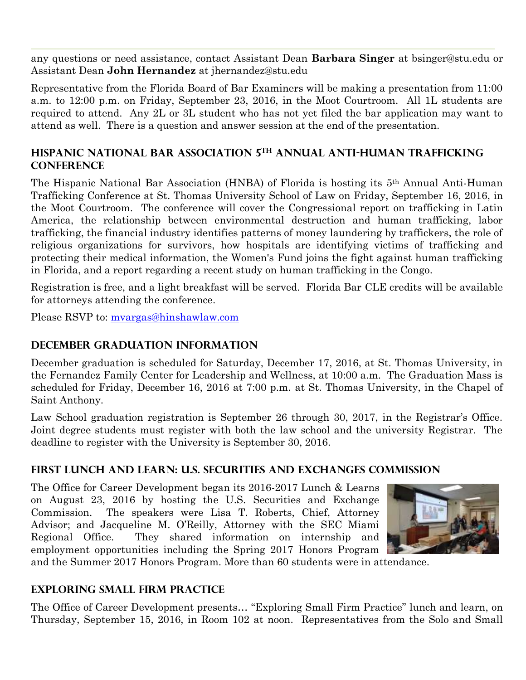any questions or need assistance, contact Assistant Dean **Barbara Singer** at [bsinger@stu.edu](mailto:bsinger@stu.edu) or Assistant Dean **John Hernandez** at [jhernandez@stu.edu](mailto:jhernandez@stu.edu)

Representative from the Florida Board of Bar Examiners will be making a presentation from 11:00 a.m. to 12:00 p.m. on Friday, September 23, 2016, in the Moot Courtroom. All 1L students are required to attend. Any 2L or 3L student who has not yet filed the bar application may want to attend as well. There is a question and answer session at the end of the presentation.

#### **HISPANIC NATIONAL BAR ASSOCIATION 5 TH ANNUAL ANTI-HUMAN TRAFFICKING CONFERENCE**

The Hispanic National Bar Association (HNBA) of Florida is hosting its 5th Annual Anti-Human Trafficking Conference at St. Thomas University School of Law on Friday, September 16, 2016, in the Moot Courtroom. The conference will cover the Congressional report on trafficking in Latin America, the relationship between environmental destruction and human trafficking, labor trafficking, the financial industry identifies patterns of money laundering by traffickers, the role of religious organizations for survivors, how hospitals are identifying victims of trafficking and protecting their medical information, the Women's Fund joins the fight against human trafficking in Florida, and a report regarding a recent study on human trafficking in the Congo.

Registration is free, and a light breakfast will be served. Florida Bar CLE credits will be available for attorneys attending the conference.

Please RSVP to: [mvargas@hinshawlaw.com](mailto:mvargas@hinshawlaw.com)

#### **December Graduation Information**

December graduation is scheduled for Saturday, December 17, 2016, at St. Thomas University, in the Fernandez Family Center for Leadership and Wellness, at 10:00 a.m. The Graduation Mass is scheduled for Friday, December 16, 2016 at 7:00 p.m. at St. Thomas University, in the Chapel of Saint Anthony.

Law School graduation registration is September 26 through 30, 2017, in the Registrar's Office. Joint degree students must register with both the law school and the university Registrar. The deadline to register with the University is September 30, 2016.

#### **First Lunch and Learn: U.S. Securities and Exchanges Commission**

The Office for Career Development began its 2016-2017 Lunch & Learns on August 23, 2016 by hosting the U.S. Securities and Exchange Commission. The speakers were Lisa T. Roberts, Chief, Attorney Advisor; and Jacqueline M. O'Reilly, Attorney with the SEC Miami Regional Office. They shared information on internship and employment opportunities including the Spring 2017 Honors Program



and the Summer 2017 Honors Program. More than 60 students were in attendance.

#### **Exploring Small Firm Practice**

The Office of Career Development presents… "Exploring Small Firm Practice" lunch and learn, on Thursday, September 15, 2016, in Room 102 at noon. Representatives from the Solo and Small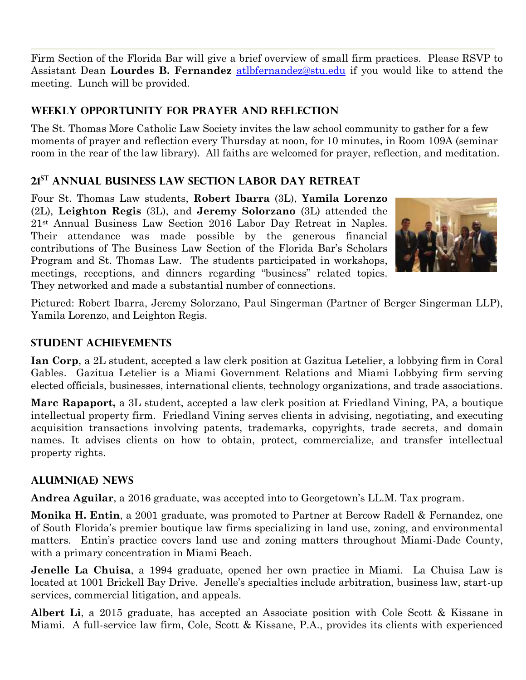Firm Section of the Florida Bar will give a brief overview of small firm practices. Please RSVP to Assistant Dean **Lourdes B. Fernandez** [atlbfernandez@stu.edu](mailto:atlbfernandez@stu.edu) if you would like to attend the meeting. Lunch will be provided.

## **Weekly Opportunity for prayer and reflection**

The St. Thomas More Catholic Law Society invites the law school community to gather for a few moments of prayer and reflection every Thursday at noon, for 10 minutes, in Room 109A (seminar room in the rear of the law library). All faiths are welcomed for prayer, reflection, and meditation.

## **21st Annual Business Law Section Labor Day Retreat**

Four St. Thomas Law students, **Robert Ibarra** (3L), **Yamila Lorenzo** (2L), **Leighton Regis** (3L), and **Jeremy Solorzano** (3L) attended the 21st Annual Business Law Section 2016 Labor Day Retreat in Naples. Their attendance was made possible by the generous financial contributions of The Business Law Section of the Florida Bar's Scholars Program and St. Thomas Law. The students participated in workshops, meetings, receptions, and dinners regarding "business" related topics. They networked and made a substantial number of connections.



Pictured: Robert Ibarra, Jeremy Solorzano, Paul Singerman (Partner of Berger Singerman LLP), Yamila Lorenzo, and Leighton Regis.

### **STUDENT ACHIEVEMENTS**

**Ian Corp**, a 2L student, accepted a law clerk position at Gazitua Letelier, a lobbying firm in Coral Gables. Gazitua Letelier is a Miami Government Relations and Miami Lobbying firm serving elected officials, businesses, international clients, technology organizations, and trade associations.

**Marc Rapaport,** a 3L student, accepted a law clerk position at Friedland Vining, PA, a boutique intellectual property firm. Friedland Vining serves clients in advising, negotiating, and executing acquisition transactions involving patents, trademarks, copyrights, trade secrets, and domain names. It advises clients on how to obtain, protect, commercialize, and transfer intellectual property rights.

## **ALUMNI(AE) NEWS**

**Andrea Aguilar**, a 2016 graduate, was accepted into to Georgetown's LL.M. Tax program.

**Monika H. Entin**, a 2001 graduate, was promoted to Partner at Bercow Radell & Fernandez, one of South Florida's premier boutique law firms specializing in land use, zoning, and environmental matters. Entin's practice covers land use and zoning matters throughout Miami-Dade County, with a primary concentration in Miami Beach.

**Jenelle La Chuisa**, a 1994 graduate, opened her own practice in Miami. La Chuisa Law is located at 1001 Brickell Bay Drive. Jenelle's specialties include arbitration, business law, start-up services, commercial litigation, and appeals.

**Albert Li**, a 2015 graduate, has accepted an Associate position with Cole Scott & Kissane in Miami. A full-service law firm, Cole, Scott & Kissane, P.A., provides its clients with experienced